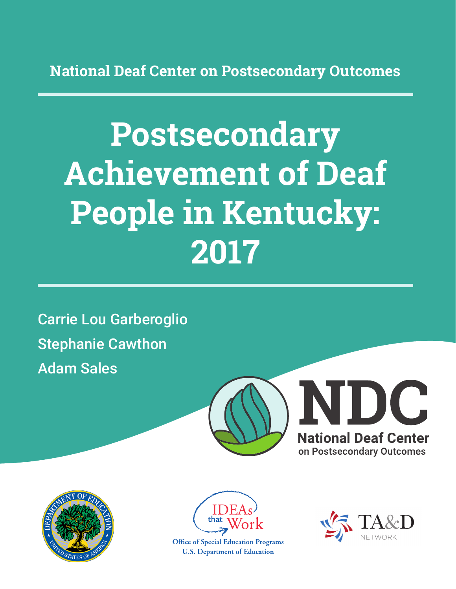**National Deaf Center on Postsecondary Outcomes**

# **Postsecondary Achievement of Deaf People in Kentucky: 2017**

Carrie Lou Garberoglio Stephanie Cawthon Adam Sales







**Office of Special Education Programs U.S. Department of Education** 

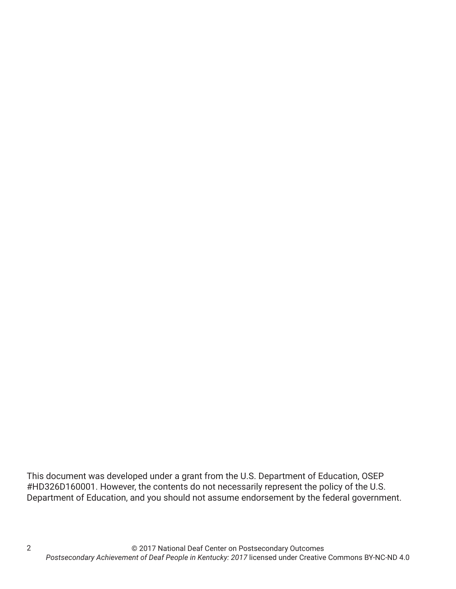This document was developed under a grant from the U.S. Department of Education, OSEP #HD326D160001. However, the contents do not necessarily represent the policy of the U.S. Department of Education, and you should not assume endorsement by the federal government.

2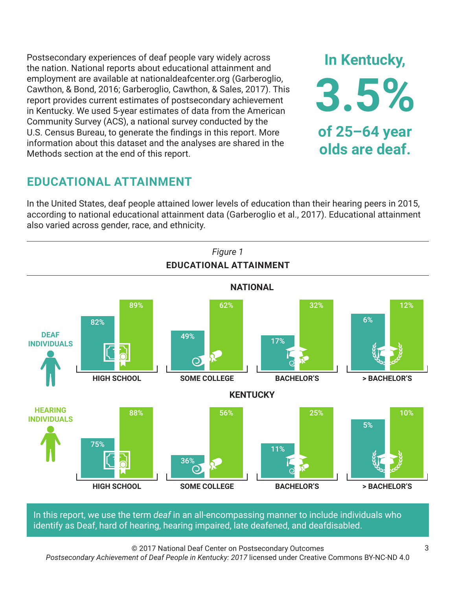Postsecondary experiences of deaf people vary widely across the nation. National reports about educational attainment and employment are available at nationaldeafcenter.org (Garberoglio, Cawthon, & Bond, 2016; Garberoglio, Cawthon, & Sales, 2017). This report provides current estimates of postsecondary achievement in Kentucky. We used 5-year estimates of data from the American Community Survey (ACS), a national survey conducted by the U.S. Census Bureau, to generate the findings in this report. More information about this dataset and the analyses are shared in the Methods section at the end of this report.

# **EDUCATIONAL ATTAINMENT**

In the United States, deaf people attained lower levels of education than their hearing peers in 2015, according to national educational attainment data (Garberoglio et al., 2017). Educational attainment also varied across gender, race, and ethnicity.



In this report, we use the term *deaf* in an all-encompassing manner to include individuals who identify as Deaf, hard of hearing, hearing impaired, late deafened, and deafdisabled.

© 2017 National Deaf Center on Postsecondary Outcomes

*Postsecondary Achievement of Deaf People in Kentucky: 2017* licensed under Creative Commons BY-NC-ND 4.0

**In Kentucky,**

**3.5%**

**of 25–64 year**

**olds are deaf.**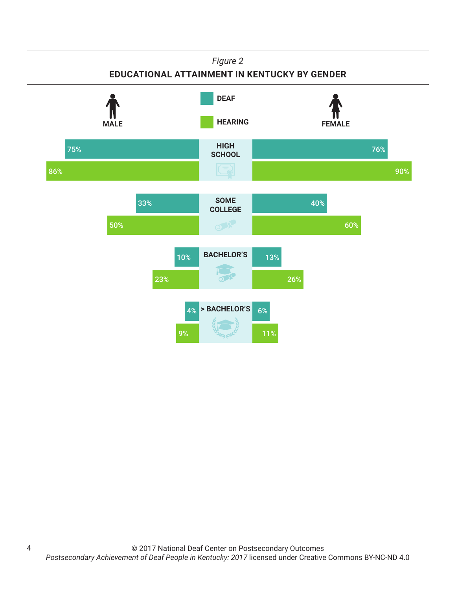#### *Figure 2*

### **EDUCATIONAL ATTAINMENT IN KENTUCKY BY GENDER**



4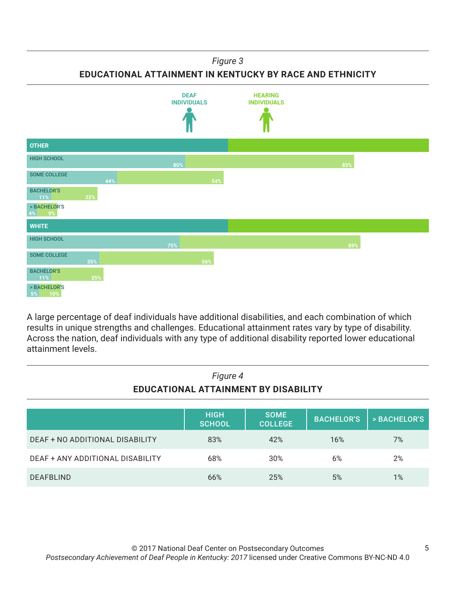#### *Figure 3*

**EDUCATIONAL ATTAINMENT IN KENTUCKY BY RACE AND ETHNICITY**



A large percentage of deaf individuals have additional disabilities, and each combination of which results in unique strengths and challenges. Educational attainment rates vary by type of disability. Across the nation, deaf individuals with any type of additional disability reported lower educational attainment levels.

| Figure 4<br>EDUCATIONAL ATTAINMENT BY DISABILITY |                              |                               |                   |              |
|--------------------------------------------------|------------------------------|-------------------------------|-------------------|--------------|
|                                                  | <b>HIGH</b><br><b>SCHOOL</b> | <b>SOME</b><br><b>COLLEGE</b> | <b>BACHELOR'S</b> | > BACHELOR'S |
| <b>DEAF + NO ADDITIONAL DISABILITY</b>           | 83%                          | 42%                           | 16%               | 7%           |
| <b>DEAF + ANY ADDITIONAL DISABILITY</b>          | 68%                          | 30%                           | 6%                | 2%           |
| <b>DEAFBLIND</b>                                 | 66%                          | 25%                           | 5%                | 1%           |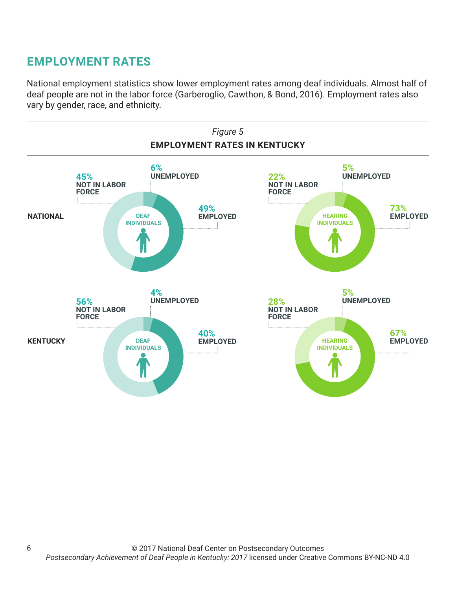# **EMPLOYMENT RATES**

6

National employment statistics show lower employment rates among deaf individuals. Almost half of deaf people are not in the labor force (Garberoglio, Cawthon, & Bond, 2016). Employment rates also vary by gender, race, and ethnicity.

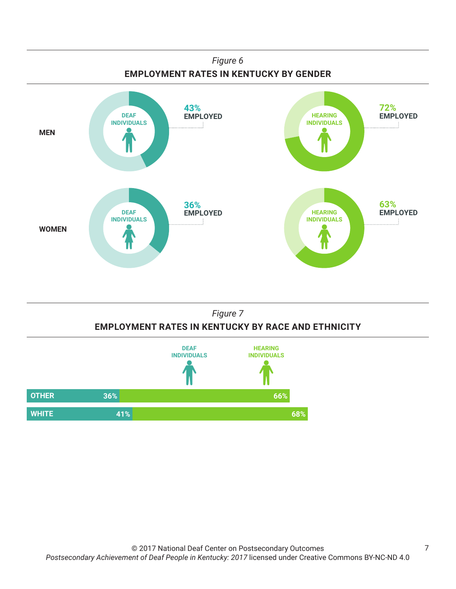



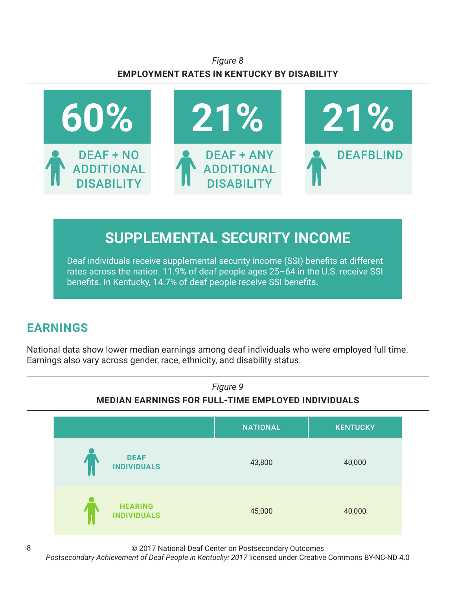## *Figure 8* **EMPLOYMENT RATES IN KENTUCKY BY DISABILITY**



# **SUPPLEMENTAL SECURITY INCOME**

Deaf individuals receive supplemental security income (SSI) benefits at different rates across the nation. 11.9% of deaf people ages 25–64 in the U.S. receive SSI benefits. In Kentucky, 14.7% of deaf people receive SSI benefits.

# **EARNINGS**

National data show lower median earnings among deaf individuals who were employed full time. Earnings also vary across gender, race, ethnicity, and disability status.



© 2017 National Deaf Center on Postsecondary Outcomes

*Postsecondary Achievement of Deaf People in Kentucky: 2017* licensed under Creative Commons BY-NC-ND 4.0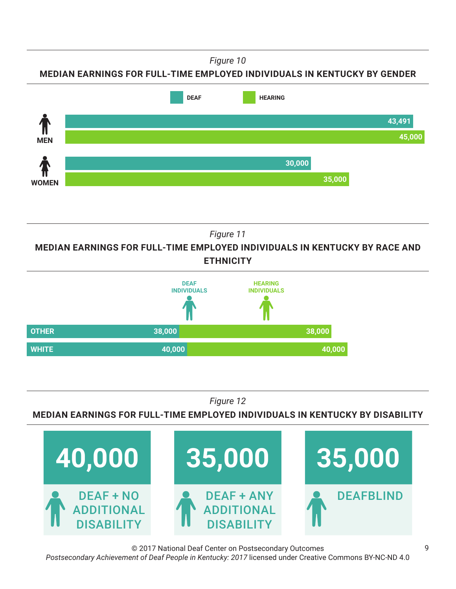*Figure 10*

**MEDIAN EARNINGS FOR FULL-TIME EMPLOYED INDIVIDUALS IN KENTUCKY BY GENDER**



*Figure 11*

**MEDIAN EARNINGS FOR FULL-TIME EMPLOYED INDIVIDUALS IN KENTUCKY BY RACE AND ETHNICITY**



*Figure 12*

**MEDIAN EARNINGS FOR FULL-TIME EMPLOYED INDIVIDUALS IN KENTUCKY BY DISABILITY**



© 2017 National Deaf Center on Postsecondary Outcomes *Postsecondary Achievement of Deaf People in Kentucky: 2017* licensed under Creative Commons BY-NC-ND 4.0